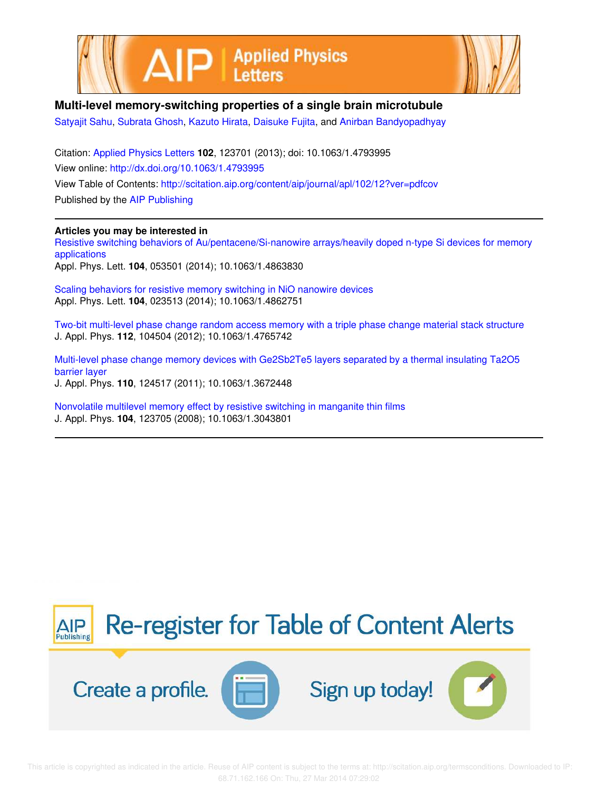



## **Multi-level memory-switching properties of a single brain microtubule**

Satyajit Sahu, Subrata Ghosh, Kazuto Hirata, Daisuke Fujita, and Anirban Bandyopadhyay

Citation: Applied Physics Letters **102**, 123701 (2013); doi: 10.1063/1.4793995 View online: http://dx.doi.org/10.1063/1.4793995 View Table of Contents: http://scitation.aip.org/content/aip/journal/apl/102/12?ver=pdfcov Published by the AIP Publishing

## **Articles you may be interested in**

Resistive switching behaviors of Au/pentacene/Si-nanowire arrays/heavily doped n-type Si devices for memory applications Appl. Phys. Lett. **104**, 053501 (2014); 10.1063/1.4863830

Scaling behaviors for resistive memory switching in NiO nanowire devices Appl. Phys. Lett. **104**, 023513 (2014); 10.1063/1.4862751

Two-bit multi-level phase change random access memory with a triple phase change material stack structure J. Appl. Phys. **112**, 104504 (2012); 10.1063/1.4765742

Multi-level phase change memory devices with Ge2Sb2Te5 layers separated by a thermal insulating Ta2O5 barrier layer J. Appl. Phys. **110**, 124517 (2011); 10.1063/1.3672448

Nonvolatile multilevel memory effect by resistive switching in manganite thin films J. Appl. Phys. **104**, 123705 (2008); 10.1063/1.3043801

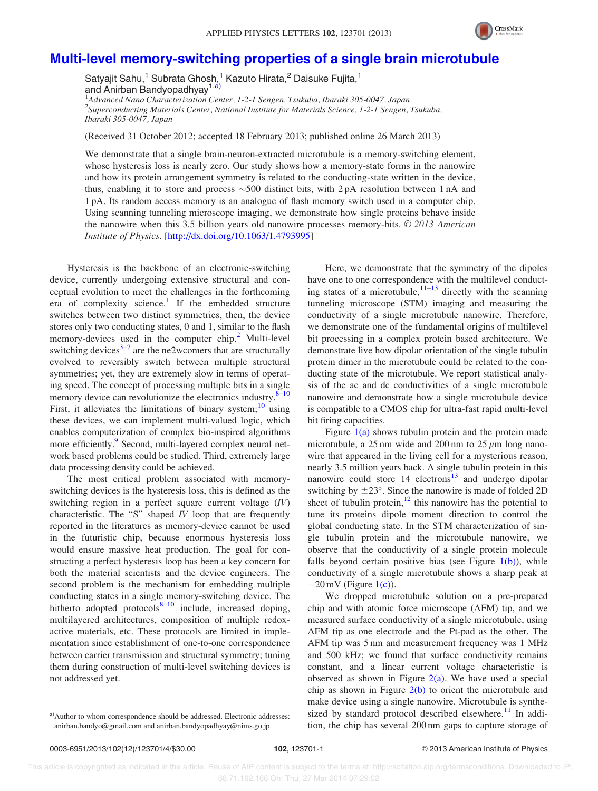

## Multi-level memory-switching properties of a single brain microtubule

Satyajit Sahu,<sup>1</sup> Subrata Ghosh,<sup>1</sup> Kazuto Hirata,<sup>2</sup> Daisuke Fujita,<sup>1</sup> and Anirban Bandyopadhyay<sup>1,a)</sup> 1 Advanced Nano Characterization Center, 1-2-1 Sengen, Tsukuba, Ibaraki 305-0047, Japan

<sup>2</sup>Superconducting Materials Center, National Institute for Materials Science, 1-2-1 Sengen, Tsukuba, Ibaraki 305-0047, Japan

(Received 31 October 2012; accepted 18 February 2013; published online 26 March 2013)

We demonstrate that a single brain-neuron-extracted microtubule is a memory-switching element, whose hysteresis loss is nearly zero. Our study shows how a memory-state forms in the nanowire and how its protein arrangement symmetry is related to the conducting-state written in the device, thus, enabling it to store and process  $\sim$  500 distinct bits, with 2 pA resolution between 1 nA and 1 pA. Its random access memory is an analogue of flash memory switch used in a computer chip. Using scanning tunneling microscope imaging, we demonstrate how single proteins behave inside the nanowire when this 3.5 billion years old nanowire processes memory-bits.  $\odot$  2013 American Institute of Physics. [http://dx.doi.org/10.1063/1.4793995]

Hysteresis is the backbone of an electronic-switching device, currently undergoing extensive structural and conceptual evolution to meet the challenges in the forthcoming era of complexity science.<sup>1</sup> If the embedded structure switches between two distinct symmetries, then, the device stores only two conducting states, 0 and 1, similar to the flash memory-devices used in the computer  $\text{chip.}^2$  Multi-level switching devices $3-7$  are the ne2wcomers that are structurally evolved to reversibly switch between multiple structural symmetries; yet, they are extremely slow in terms of operating speed. The concept of processing multiple bits in a single memory device can revolutionize the electronics industry. $8-10$ First, it alleviates the limitations of binary system; $^{10}$  using these devices, we can implement multi-valued logic, which enables computerization of complex bio-inspired algorithms more efficiently.<sup>9</sup> Second, multi-layered complex neural network based problems could be studied. Third, extremely large data processing density could be achieved.

The most critical problem associated with memoryswitching devices is the hysteresis loss, this is defined as the switching region in a perfect square current voltage  $(IV)$ characteristic. The "S" shaped  $IV$  loop that are frequently reported in the literatures as memory-device cannot be used in the futuristic chip, because enormous hysteresis loss would ensure massive heat production. The goal for constructing a perfect hysteresis loop has been a key concern for both the material scientists and the device engineers. The second problem is the mechanism for embedding multiple conducting states in a single memory-switching device. The hitherto adopted protocols $8-10$  include, increased doping, multilayered architectures, composition of multiple redoxactive materials, etc. These protocols are limited in implementation since establishment of one-to-one correspondence between carrier transmission and structural symmetry; tuning them during construction of multi-level switching devices is not addressed yet.

Here, we demonstrate that the symmetry of the dipoles have one to one correspondence with the multilevel conducting states of a microtubule, $11-13$  directly with the scanning tunneling microscope (STM) imaging and measuring the conductivity of a single microtubule nanowire. Therefore, we demonstrate one of the fundamental origins of multilevel bit processing in a complex protein based architecture. We demonstrate live how dipolar orientation of the single tubulin protein dimer in the microtubule could be related to the conducting state of the microtubule. We report statistical analysis of the ac and dc conductivities of a single microtubule nanowire and demonstrate how a single microtubule device is compatible to a CMOS chip for ultra-fast rapid multi-level bit firing capacities.

Figure  $1(a)$  shows tubulin protein and the protein made microtubule, a 25 nm wide and 200 nm to 25  $\mu$ m long nanowire that appeared in the living cell for a mysterious reason, nearly 3.5 million years back. A single tubulin protein in this nanowire could store  $14$  electrons<sup>13</sup> and undergo dipolar switching by  $\pm 23^{\circ}$ . Since the nanowire is made of folded 2D sheet of tubulin protein, $12$  this nanowire has the potential to tune its proteins dipole moment direction to control the global conducting state. In the STM characterization of single tubulin protein and the microtubule nanowire, we observe that the conductivity of a single protein molecule falls beyond certain positive bias (see Figure  $1(b)$ ), while conductivity of a single microtubule shows a sharp peak at  $-20$  mV (Figure 1(c)).

We dropped microtubule solution on a pre-prepared chip and with atomic force microscope (AFM) tip, and we measured surface conductivity of a single microtubule, using AFM tip as one electrode and the Pt-pad as the other. The AFM tip was 5 nm and measurement frequency was 1 MHz and 500 kHz; we found that surface conductivity remains constant, and a linear current voltage characteristic is observed as shown in Figure  $2(a)$ . We have used a special chip as shown in Figure  $2(b)$  to orient the microtubule and make device using a single nanowire. Microtubule is synthesized by standard protocol described elsewhere.<sup>11</sup> In addition, the chip has several 200 nm gaps to capture storage of

a)Author to whom correspondence should be addressed. Electronic addresses: anirban.bandyo@gmail.com and anirban.bandyopadhyay@nims.go.jp.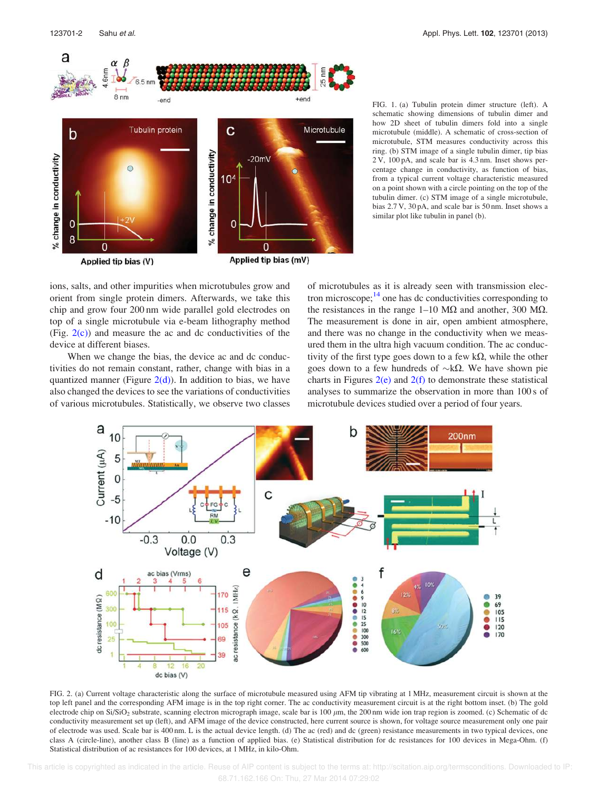

FIG. 1. (a) Tubulin protein dimer structure (left). A schematic showing dimensions of tubulin dimer and how 2D sheet of tubulin dimers fold into a single microtubule (middle). A schematic of cross-section of microtubule, STM measures conductivity across this ring. (b) STM image of a single tubulin dimer, tip bias 2 V, 100 pA, and scale bar is 4.3 nm. Inset shows percentage change in conductivity, as function of bias, from a typical current voltage characteristic measured on a point shown with a circle pointing on the top of the tubulin dimer. (c) STM image of a single microtubule, bias 2.7 V, 30 pA, and scale bar is 50 nm. Inset shows a similar plot like tubulin in panel (b).

ions, salts, and other impurities when microtubules grow and orient from single protein dimers. Afterwards, we take this chip and grow four 200 nm wide parallel gold electrodes on top of a single microtubule via e-beam lithography method (Fig.  $2(c)$ ) and measure the ac and dc conductivities of the device at different biases.

When we change the bias, the device ac and dc conductivities do not remain constant, rather, change with bias in a quantized manner (Figure  $2(d)$ ). In addition to bias, we have also changed the devices to see the variations of conductivities of various microtubules. Statistically, we observe two classes of microtubules as it is already seen with transmission electron microscope;<sup>14</sup> one has dc conductivities corresponding to the resistances in the range  $1-10$  M $\Omega$  and another, 300 M $\Omega$ . The measurement is done in air, open ambient atmosphere, and there was no change in the conductivity when we measured them in the ultra high vacuum condition. The ac conductivity of the first type goes down to a few  $k\Omega$ , while the other goes down to a few hundreds of  $\sim k\Omega$ . We have shown pie charts in Figures  $2(e)$  and  $2(f)$  to demonstrate these statistical analyses to summarize the observation in more than 100 s of microtubule devices studied over a period of four years.



FIG. 2. (a) Current voltage characteristic along the surface of microtubule measured using AFM tip vibrating at 1 MHz, measurement circuit is shown at the top left panel and the corresponding AFM image is in the top right corner. The ac conductivity measurement circuit is at the right bottom inset. (b) The gold electrode chip on Si/SiO<sub>2</sub> substrate, scanning electron micrograph image, scale bar is 100  $\mu$ m, the 200 nm wide ion trap region is zoomed. (c) Schematic of dc conductivity measurement set up (left), and AFM image of the device constructed, here current source is shown, for voltage source measurement only one pair of electrode was used. Scale bar is 400 nm. L is the actual device length. (d) The ac (red) and dc (green) resistance measurements in two typical devices, one class A (circle-line), another class B (line) as a function of applied bias. (e) Statistical distribution for dc resistances for 100 devices in Mega-Ohm. (f) Statistical distribution of ac resistances for 100 devices, at 1 MHz, in kilo-Ohm.

 This article is copyrighted as indicated in the article. Reuse of AIP content is subject to the terms at: http://scitation.aip.org/termsconditions. Downloaded to IP: 68.71.162.166 On: Thu, 27 Mar 2014 07:29:02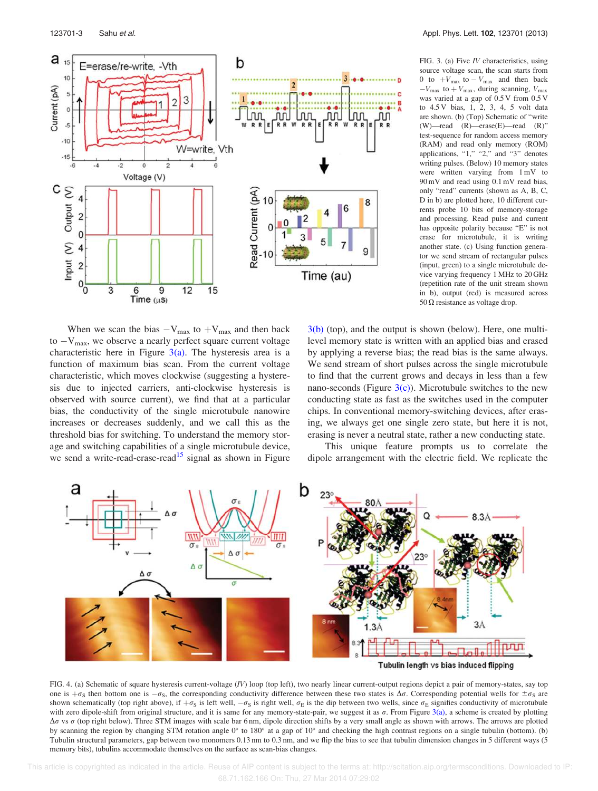

When we scan the bias  $-V_{\text{max}}$  to  $+V_{\text{max}}$  and then back to  $-V_{\text{max}}$ , we observe a nearly perfect square current voltage characteristic here in Figure  $3(a)$ . The hysteresis area is a function of maximum bias scan. From the current voltage characteristic, which moves clockwise (suggesting a hysteresis due to injected carriers, anti-clockwise hysteresis is observed with source current), we find that at a particular bias, the conductivity of the single microtubule nanowire increases or decreases suddenly, and we call this as the threshold bias for switching. To understand the memory storage and switching capabilities of a single microtubule device, we send a write-read-erase-read<sup>15</sup> signal as shown in Figure

FIG. 3. (a) Five IV characteristics, using source voltage scan, the scan starts from 0 to  $+V_{\text{max}}$  to  $-V_{\text{max}}$  and then back  $-V_{\text{max}}$  to  $+V_{\text{max}}$ , during scanning,  $V_{\text{max}}$ was varied at a gap of 0.5 V from 0.5 V to 4.5 V bias, 1, 2, 3, 4, 5 volt data are shown. (b) (Top) Schematic of "write (W)—read (R)—erase(E)—read (R)" test-sequence for random access memory (RAM) and read only memory (ROM) applications, "1," "2," and "3" denotes writing pulses. (Below) 10 memory states were written varying from 1 mV to 90 mV and read using 0.1 mV read bias, only "read" currents (shown as A, B, C, D in b) are plotted here, 10 different currents probe 10 bits of memory-storage and processing. Read pulse and current has opposite polarity because "E" is not erase for microtubule, it is writing another state. (c) Using function generator we send stream of rectangular pulses (input, green) to a single microtubule device varying frequency 1 MHz to 20 GHz (repetition rate of the unit stream shown in b), output (red) is measured across  $50 \Omega$  resistance as voltage drop.

3(b) (top), and the output is shown (below). Here, one multilevel memory state is written with an applied bias and erased by applying a reverse bias; the read bias is the same always. We send stream of short pulses across the single microtubule to find that the current grows and decays in less than a few nano-seconds (Figure  $3(c)$ ). Microtubule switches to the new conducting state as fast as the switches used in the computer chips. In conventional memory-switching devices, after erasing, we always get one single zero state, but here it is not, erasing is never a neutral state, rather a new conducting state.

This unique feature prompts us to correlate the dipole arrangement with the electric field. We replicate the



FIG. 4. (a) Schematic of square hysteresis current-voltage (IV) loop (top left), two nearly linear current-output regions depict a pair of memory-states, say top one is  $+\sigma_s$  then bottom one is  $-\sigma_s$ , the corresponding conductivity difference between these two states is  $\Delta\sigma$ . Corresponding potential wells for  $\pm \sigma_s$  are shown schematically (top right above), if  $+\sigma_S$  is left well,  $-\sigma_S$  is right well,  $\sigma_E$  is the dip between two wells, since  $\sigma_E$  signifies conductivity of microtubule with zero dipole-shift from original structure, and it is same for any memory-state-pair, we suggest it as  $\sigma$ . From Figure 3(a), a scheme is created by plotting  $\Delta \sigma$  vs  $\sigma$  (top right below). Three STM images with scale bar 6 nm, dipole direction shifts by a very small angle as shown with arrows. The arrows are plotted by scanning the region by changing STM rotation angle  $0^\circ$  to 180 $^\circ$  at a gap of 10 $^\circ$  and checking the high contrast regions on a single tubulin (bottom). (b) Tubulin structural parameters, gap between two monomers 0.13 nm to 0.3 nm, and we flip the bias to see that tubulin dimension changes in 5 different ways (5 memory bits), tubulins accommodate themselves on the surface as scan-bias changes.